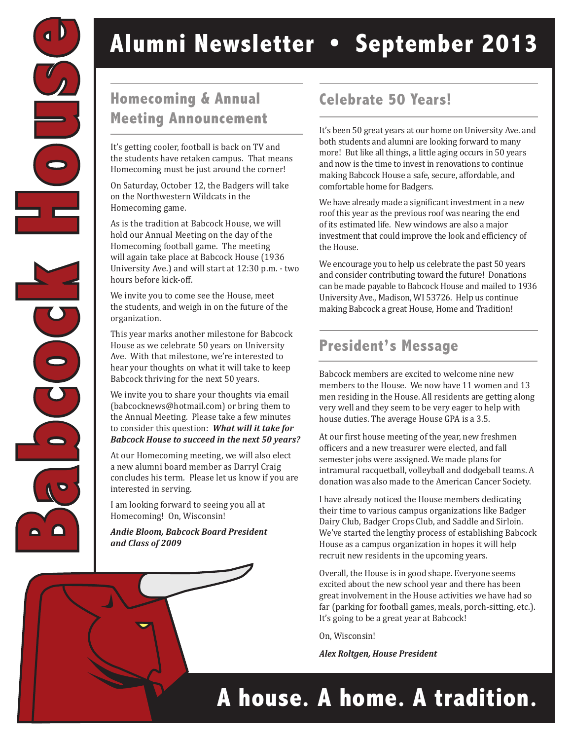

# **Alumni Newsletter • September 2013**

### **Homecoming & Annual Celebrate 50 Years! Meeting Announcement**

It's getting cooler, football is back on TV and the students have retaken campus. That means Homecoming must be just around the corner!

On Saturday, October 12, the Badgers will take on the Northwestern Wildcats in the Homecoming game.

As is the tradition at Babcock House, we will hold our Annual Meeting on the day of the Homecoming football game. The meeting will again take place at Babcock House (1936 University Ave.) and will start at 12:30 p.m. - two hours before kick-off.

We invite you to come see the House, meet the students, and weigh in on the future of the organization.

This year marks another milestone for Babcock House as we celebrate 50 years on University Ave. With that milestone, we're interested to hear your thoughts on what it will take to keep Babcock thriving for the next 50 years.

We invite you to share your thoughts via email (babcocknews@hotmail.com) or bring them to the Annual Meeting. Please take a few minutes to consider this question: *What will it take for Babcock House to succeed in the next 50 years?*

At our Homecoming meeting, we will also elect a new alumni board member as Darryl Craig concludes his term. Please let us know if you are interested in serving.

I am looking forward to seeing you all at Homecoming! On, Wisconsin!

*Andie Bloom, Babcock Board President and Class of 2009*

It's been 50 great years at our home on University Ave. and both students and alumni are looking forward to many more! But like all things, a little aging occurs in 50 years and now is the time to invest in renovations to continue making Babcock House a safe, secure, affordable, and comfortable home for Badgers.

We have already made a significant investment in a new roof this year as the previous roof was nearing the end of its estimated life. New windows are also a major investment that could improve the look and efficiency of the House.

We encourage you to help us celebrate the past 50 years and consider contributing toward the future! Donations can be made payable to Babcock House and mailed to 1936 University Ave., Madison, WI 53726. Help us continue making Babcock a great House, Home and Tradition!

#### **President's Message**

Babcock members are excited to welcome nine new members to the House. We now have 11 women and 13 men residing in the House. All residents are getting along very well and they seem to be very eager to help with house duties. The average House GPA is a 3.5.

At our first house meeting of the year, new freshmen officers and a new treasurer were elected, and fall semester jobs were assigned. We made plans for intramural racquetball, volleyball and dodgeball teams. A donation was also made to the American Cancer Society.

I have already noticed the House members dedicating their time to various campus organizations like Badger Dairy Club, Badger Crops Club, and Saddle and Sirloin. We've started the lengthy process of establishing Babcock House as a campus organization in hopes it will help recruit new residents in the upcoming years.

Overall, the House is in good shape. Everyone seems excited about the new school year and there has been great involvement in the House activities we have had so far (parking for football games, meals, porch-sitting, etc.). It's going to be a great year at Babcock!

On, Wisconsin!

*Alex Roltgen, House President*

## **A house. A home. A tradition.**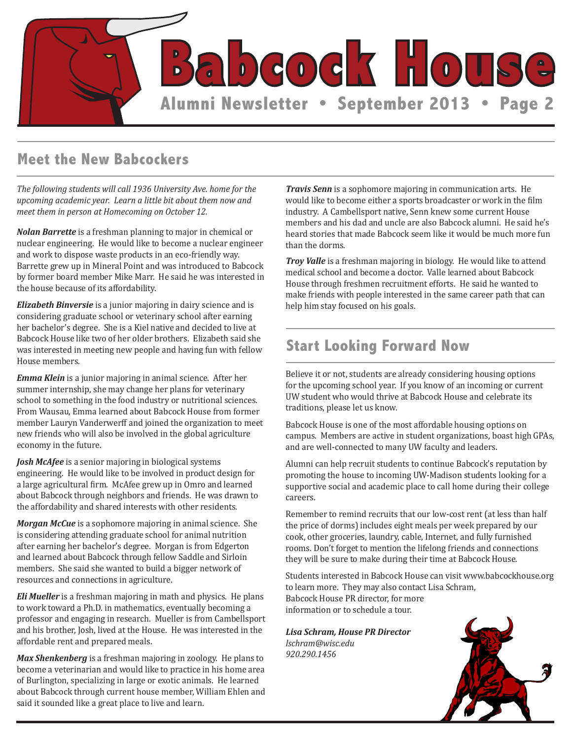

#### **Meet the New Babcockers**

*The following students will call 1936 University Ave. home for the upcoming academic year. Learn a little bit about them now and meet them in person at Homecoming on October 12.*

*Nolan Barrette* is a freshman planning to major in chemical or nuclear engineering. He would like to become a nuclear engineer and work to dispose waste products in an eco-friendly way. Barrette grew up in Mineral Point and was introduced to Babcock by former board member Mike Marr. He said he was interested in the house because of its affordability.

*Elizabeth Binversie* is a junior majoring in dairy science and is considering graduate school or veterinary school after earning her bachelor's degree. She is a Kiel native and decided to live at Babcock House like two of her older brothers. Elizabeth said she was interested in meeting new people and having fun with fellow House members.

*Emma Klein* is a junior majoring in animal science. After her summer internship, she may change her plans for veterinary school to something in the food industry or nutritional sciences. From Wausau, Emma learned about Babcock House from former member Lauryn Vanderwerff and joined the organization to meet new friends who will also be involved in the global agriculture economy in the future.

*Josh McAfee* is a senior majoring in biological systems engineering. He would like to be involved in product design for a large agricultural firm. McAfee grew up in Omro and learned about Babcock through neighbors and friends. He was drawn to the affordability and shared interests with other residents.

*Morgan McCue* is a sophomore majoring in animal science. She is considering attending graduate school for animal nutrition after earning her bachelor's degree. Morgan is from Edgerton and learned about Babcock through fellow Saddle and Sirloin members. She said she wanted to build a bigger network of resources and connections in agriculture.

*Eli Mueller* is a freshman majoring in math and physics. He plans to work toward a Ph.D. in mathematics, eventually becoming a professor and engaging in research. Mueller is from Cambellsport and his brother, Josh, lived at the House. He was interested in the affordable rent and prepared meals.

*Max Shenkenberg* is a freshman majoring in zoology. He plans to become a veterinarian and would like to practice in his home area of Burlington, specializing in large or exotic animals. He learned about Babcock through current house member, William Ehlen and said it sounded like a great place to live and learn.

*Travis Senn* is a sophomore majoring in communication arts. He would like to become either a sports broadcaster or work in the film industry. A Cambellsport native, Senn knew some current House members and his dad and uncle are also Babcock alumni. He said he's heard stories that made Babcock seem like it would be much more fun than the dorms.

*Troy Valle* is a freshman majoring in biology. He would like to attend medical school and become a doctor. Valle learned about Babcock House through freshmen recruitment efforts. He said he wanted to make friends with people interested in the same career path that can help him stay focused on his goals.

#### **Start Looking Forward Now**

Believe it or not, students are already considering housing options for the upcoming school year. If you know of an incoming or current UW student who would thrive at Babcock House and celebrate its traditions, please let us know.

Babcock House is one of the most affordable housing options on campus. Members are active in student organizations, boast high GPAs, and are well-connected to many UW faculty and leaders.

Alumni can help recruit students to continue Babcock's reputation by promoting the house to incoming UW-Madison students looking for a supportive social and academic place to call home during their college careers.

Remember to remind recruits that our low-cost rent (at less than half the price of dorms) includes eight meals per week prepared by our cook, other groceries, laundry, cable, Internet, and fully furnished rooms. Don't forget to mention the lifelong friends and connections they will be sure to make during their time at Babcock House.

Students interested in Babcock House can visit www.babcockhouse.org to learn more. They may also contact Lisa Schram, Babcock House PR director, for more information or to schedule a tour.

*Lisa Schram, House PR Director lschram@wisc.edu 920.290.1456*

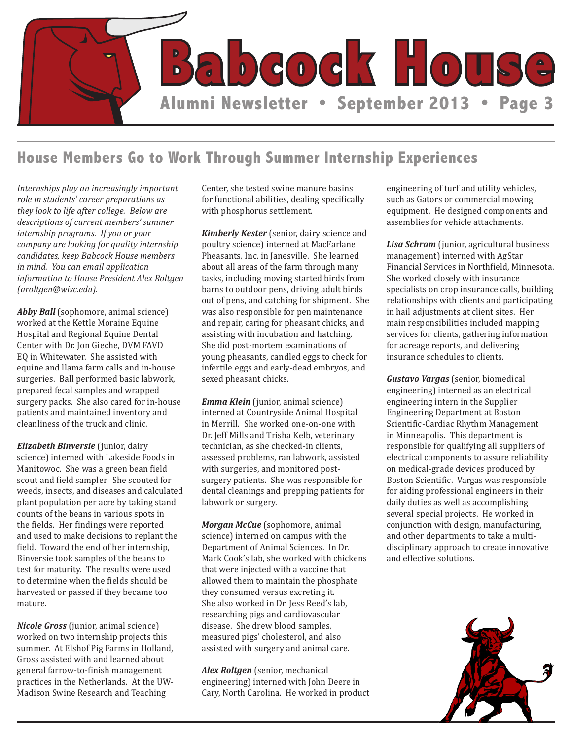

#### **House Members Go to Work Through Summer Internship Experiences**

*Internships play an increasingly important role in students' career preparations as they look to life after college. Below are descriptions of current members' summer internship programs. If you or your company are looking for quality internship candidates, keep Babcock House members in mind. You can email application information to House President Alex Roltgen (aroltgen@wisc.edu).*

*Abby Ball* (sophomore, animal science) worked at the Kettle Moraine Equine Hospital and Regional Equine Dental Center with Dr. Jon Gieche, DVM FAVD EQ in Whitewater. She assisted with equine and llama farm calls and in-house surgeries. Ball performed basic labwork, prepared fecal samples and wrapped surgery packs. She also cared for in-house patients and maintained inventory and cleanliness of the truck and clinic.

*Elizabeth Binversie* (junior, dairy science) interned with Lakeside Foods in Manitowoc. She was a green bean field scout and field sampler. She scouted for weeds, insects, and diseases and calculated plant population per acre by taking stand counts of the beans in various spots in the fields. Her findings were reported and used to make decisions to replant the field. Toward the end of her internship, Binversie took samples of the beans to test for maturity. The results were used to determine when the fields should be harvested or passed if they became too mature.

*Nicole Gross* (junior, animal science) worked on two internship projects this summer. At Elshof Pig Farms in Holland, Gross assisted with and learned about general farrow-to-finish management practices in the Netherlands. At the UW-Madison Swine Research and Teaching

Center, she tested swine manure basins for functional abilities, dealing specifically with phosphorus settlement.

*Kimberly Kester* (senior, dairy science and poultry science) interned at MacFarlane Pheasants, Inc. in Janesville. She learned about all areas of the farm through many tasks, including moving started birds from barns to outdoor pens, driving adult birds out of pens, and catching for shipment. She was also responsible for pen maintenance and repair, caring for pheasant chicks, and assisting with incubation and hatching. She did post-mortem examinations of young pheasants, candled eggs to check for infertile eggs and early-dead embryos, and sexed pheasant chicks.

*Emma Klein* (junior, animal science) interned at Countryside Animal Hospital in Merrill. She worked one-on-one with Dr. Jeff Mills and Trisha Kelb, veterinary technician, as she checked-in clients, assessed problems, ran labwork, assisted with surgeries, and monitored postsurgery patients. She was responsible for dental cleanings and prepping patients for labwork or surgery.

*Morgan McCue* (sophomore, animal science) interned on campus with the Department of Animal Sciences. In Dr. Mark Cook's lab, she worked with chickens that were injected with a vaccine that allowed them to maintain the phosphate they consumed versus excreting it. She also worked in Dr. Jess Reed's lab, researching pigs and cardiovascular disease. She drew blood samples, measured pigs' cholesterol, and also assisted with surgery and animal care.

*Alex Roltgen* (senior, mechanical engineering) interned with John Deere in Cary, North Carolina. He worked in product engineering of turf and utility vehicles, such as Gators or commercial mowing equipment. He designed components and assemblies for vehicle attachments.

*Lisa Schram* (junior, agricultural business management) interned with AgStar Financial Services in Northfield, Minnesota. She worked closely with insurance specialists on crop insurance calls, building relationships with clients and participating in hail adjustments at client sites. Her main responsibilities included mapping services for clients, gathering information for acreage reports, and delivering insurance schedules to clients.

*Gustavo Vargas* (senior, biomedical engineering) interned as an electrical engineering intern in the Supplier Engineering Department at Boston Scientific-Cardiac Rhythm Management in Minneapolis. This department is responsible for qualifying all suppliers of electrical components to assure reliability on medical-grade devices produced by Boston Scientific. Vargas was responsible for aiding professional engineers in their daily duties as well as accomplishing several special projects. He worked in conjunction with design, manufacturing, and other departments to take a multidisciplinary approach to create innovative and effective solutions.